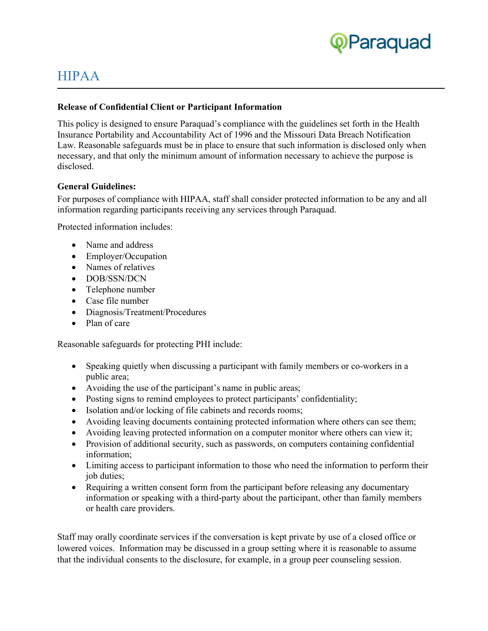

# HIPAA

#### **Release of Confidential Client or Participant Information**

This policy is designed to ensure Paraquad's compliance with the guidelines set forth in the Health Insurance Portability and Accountability Act of 1996 and the Missouri Data Breach Notification Law. Reasonable safeguards must be in place to ensure that such information is disclosed only when necessary, and that only the minimum amount of information necessary to achieve the purpose is disclosed.

#### **General Guidelines:**

For purposes of compliance with HIPAA, staff shall consider protected information to be any and all information regarding participants receiving any services through Paraquad.

Protected information includes:

- Name and address
- Employer/Occupation
- Names of relatives
- DOB/SSN/DCN
- Telephone number
- Case file number
- Diagnosis/Treatment/Procedures
- Plan of care

Reasonable safeguards for protecting PHI include:

- Speaking quietly when discussing a participant with family members or co-workers in a public area;
- Avoiding the use of the participant's name in public areas;
- Posting signs to remind employees to protect participants' confidentiality;
- Isolation and/or locking of file cabinets and records rooms;
- Avoiding leaving documents containing protected information where others can see them;
- Avoiding leaving protected information on a computer monitor where others can view it;
- Provision of additional security, such as passwords, on computers containing confidential information;
- Limiting access to participant information to those who need the information to perform their job duties;
- Requiring a written consent form from the participant before releasing any documentary information or speaking with a third-party about the participant, other than family members or health care providers.

Staff may orally coordinate services if the conversation is kept private by use of a closed office or lowered voices. Information may be discussed in a group setting where it is reasonable to assume that the individual consents to the disclosure, for example, in a group peer counseling session.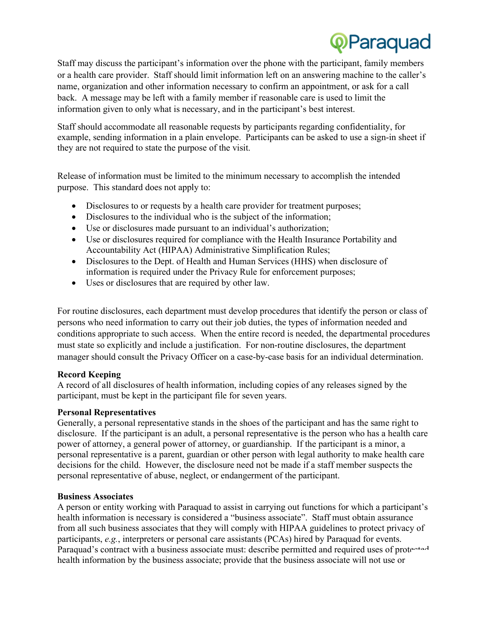**OParaquad**<br>Staff may discuss the participant's information over the phone with the participant, family members or a health care provider. Staff should limit information left on an answering machine to the caller's name, organization and other information necessary to confirm an appointment, or ask for a call back. A message may be left with a family member if reasonable care is used to limit the information given to only what is necessary, and in the participant's best interest.

Staff should accommodate all reasonable requests by participants regarding confidentiality, for example, sending information in a plain envelope. Participants can be asked to use a sign-in sheet if they are not required to state the purpose of the visit.

Release of information must be limited to the minimum necessary to accomplish the intended purpose. This standard does not apply to:

- Disclosures to or requests by a health care provider for treatment purposes;
- Disclosures to the individual who is the subject of the information;
- Use or disclosures made pursuant to an individual's authorization;
- Use or disclosures required for compliance with the Health Insurance Portability and Accountability Act (HIPAA) Administrative Simplification Rules;
- Disclosures to the Dept. of Health and Human Services (HHS) when disclosure of information is required under the Privacy Rule for enforcement purposes;
- Uses or disclosures that are required by other law.

For routine disclosures, each department must develop procedures that identify the person or class of persons who need information to carry out their job duties, the types of information needed and conditions appropriate to such access. When the entire record is needed, the departmental procedures must state so explicitly and include a justification. For non-routine disclosures, the department manager should consult the Privacy Officer on a case-by-case basis for an individual determination.

# **Record Keeping**

A record of all disclosures of health information, including copies of any releases signed by the participant, must be kept in the participant file for seven years.

# **Personal Representatives**

Generally, a personal representative stands in the shoes of the participant and has the same right to disclosure. If the participant is an adult, a personal representative is the person who has a health care power of attorney, a general power of attorney, or guardianship. If the participant is a minor, a personal representative is a parent, guardian or other person with legal authority to make health care decisions for the child. However, the disclosure need not be made if a staff member suspects the personal representative of abuse, neglect, or endangerment of the participant.

# **Business Associates**

A person or entity working with Paraquad to assist in carrying out functions for which a participant's health information is necessary is considered a "business associate". Staff must obtain assurance from all such business associates that they will comply with HIPAA guidelines to protect privacy of participants, *e.g.*, interpreters or personal care assistants (PCAs) hired by Paraquad for events. Paraquad's contract with a business associate must: describe permitted and required uses of protected health information by the business associate; provide that the business associate will not use or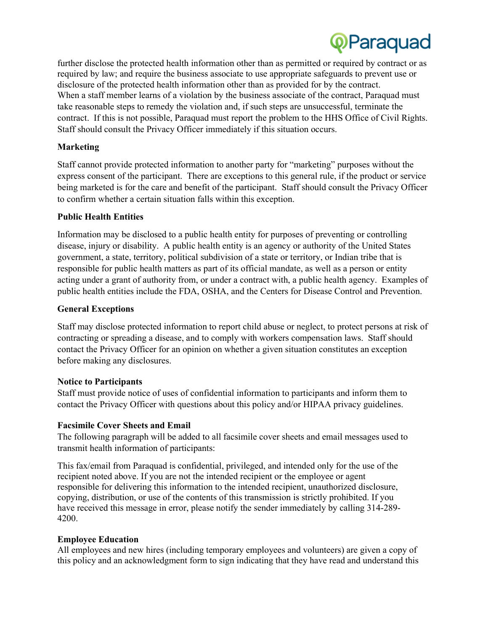

further disclose the protected health information other than as permitted or required by contract or as required by law; and require the business associate to use appropriate safeguards to prevent use or disclosure of the protected health information other than as provided for by the contract. When a staff member learns of a violation by the business associate of the contract, Paraquad must take reasonable steps to remedy the violation and, if such steps are unsuccessful, terminate the contract. If this is not possible, Paraquad must report the problem to the HHS Office of Civil Rights. Staff should consult the Privacy Officer immediately if this situation occurs.

# **Marketing**

Staff cannot provide protected information to another party for "marketing" purposes without the express consent of the participant. There are exceptions to this general rule, if the product or service being marketed is for the care and benefit of the participant. Staff should consult the Privacy Officer to confirm whether a certain situation falls within this exception.

# **Public Health Entities**

Information may be disclosed to a public health entity for purposes of preventing or controlling disease, injury or disability. A public health entity is an agency or authority of the United States government, a state, territory, political subdivision of a state or territory, or Indian tribe that is responsible for public health matters as part of its official mandate, as well as a person or entity acting under a grant of authority from, or under a contract with, a public health agency. Examples of public health entities include the FDA, OSHA, and the Centers for Disease Control and Prevention.

# **General Exceptions**

Staff may disclose protected information to report child abuse or neglect, to protect persons at risk of contracting or spreading a disease, and to comply with workers compensation laws. Staff should contact the Privacy Officer for an opinion on whether a given situation constitutes an exception before making any disclosures.

#### **Notice to Participants**

Staff must provide notice of uses of confidential information to participants and inform them to contact the Privacy Officer with questions about this policy and/or HIPAA privacy guidelines.

#### **Facsimile Cover Sheets and Email**

The following paragraph will be added to all facsimile cover sheets and email messages used to transmit health information of participants:

This fax/email from Paraquad is confidential, privileged, and intended only for the use of the recipient noted above. If you are not the intended recipient or the employee or agent responsible for delivering this information to the intended recipient, unauthorized disclosure, copying, distribution, or use of the contents of this transmission is strictly prohibited. If you have received this message in error, please notify the sender immediately by calling 314-289- 4200.

# **Employee Education**

All employees and new hires (including temporary employees and volunteers) are given a copy of this policy and an acknowledgment form to sign indicating that they have read and understand this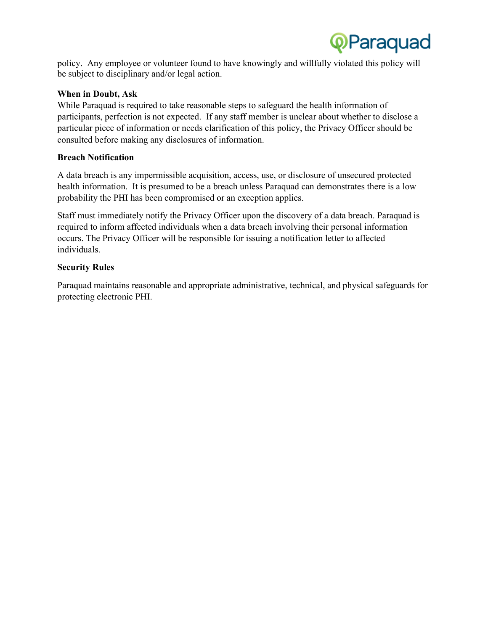

policy. Any employee or volunteer found to have knowingly and willfully violated this policy will be subject to disciplinary and/or legal action.

#### **When in Doubt, Ask**

While Paraquad is required to take reasonable steps to safeguard the health information of participants, perfection is not expected. If any staff member is unclear about whether to disclose a particular piece of information or needs clarification of this policy, the Privacy Officer should be consulted before making any disclosures of information.

#### **Breach Notification**

A data breach is any impermissible acquisition, access, use, or disclosure of unsecured protected health information. It is presumed to be a breach unless Paraquad can demonstrates there is a low probability the PHI has been compromised or an exception applies.

Staff must immediately notify the Privacy Officer upon the discovery of a data breach. Paraquad is required to inform affected individuals when a data breach involving their personal information occurs. The Privacy Officer will be responsible for issuing a notification letter to affected individuals.

# **Security Rules**

Paraquad maintains reasonable and appropriate administrative, technical, and physical safeguards for protecting electronic PHI.